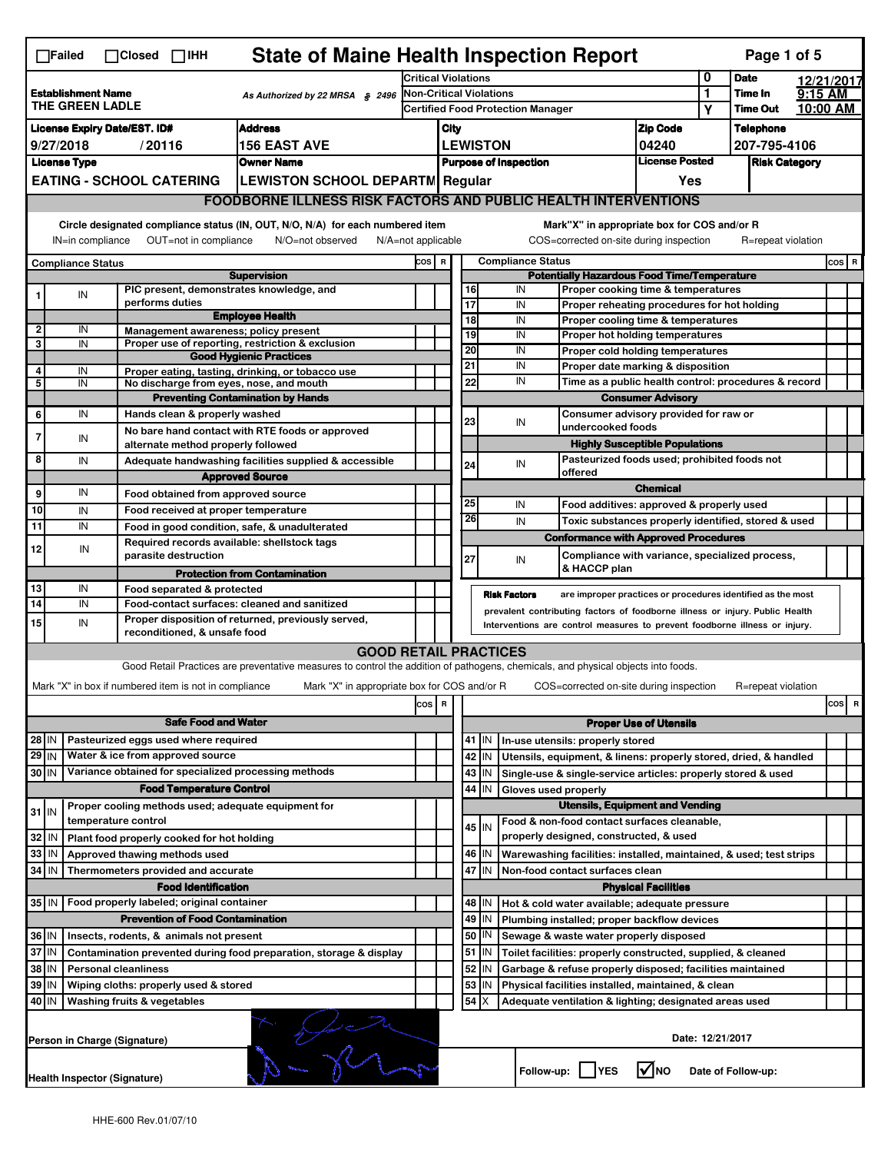|                                                                                                                                                                                                                                                                                           | <b>State of Maine Health Inspection Report</b><br>Page 1 of 5<br>$\Box$ Failed<br>$\Box$ Closed $\Box$ IHH    |  |                                                                                                                                                                                    |                                                                                                                                   |                                                                                                         |                                                                       |          |                                                                                  |                                                           |                                                                                       |                                       |             |                    |            |          |
|-------------------------------------------------------------------------------------------------------------------------------------------------------------------------------------------------------------------------------------------------------------------------------------------|---------------------------------------------------------------------------------------------------------------|--|------------------------------------------------------------------------------------------------------------------------------------------------------------------------------------|-----------------------------------------------------------------------------------------------------------------------------------|---------------------------------------------------------------------------------------------------------|-----------------------------------------------------------------------|----------|----------------------------------------------------------------------------------|-----------------------------------------------------------|---------------------------------------------------------------------------------------|---------------------------------------|-------------|--------------------|------------|----------|
|                                                                                                                                                                                                                                                                                           |                                                                                                               |  |                                                                                                                                                                                    |                                                                                                                                   |                                                                                                         | <b>Critical Violations</b>                                            |          |                                                                                  |                                                           |                                                                                       | 0                                     | <b>Date</b> |                    | 12/21/2017 |          |
| <b>Establishment Name</b><br>As Authorized by 22 MRSA § 2496<br>THE GREEN LADLE                                                                                                                                                                                                           |                                                                                                               |  |                                                                                                                                                                                    | Non-Critical Violations<br><b>Certified Food Protection Manager</b>                                                               |                                                                                                         |                                                                       |          |                                                                                  |                                                           | 1<br>Υ                                                                                | Time In<br><b>Time Out</b>            | $9:15$ AM   | 10:00 AM           |            |          |
|                                                                                                                                                                                                                                                                                           | <b>Address</b><br><b>License Expiry Date/EST. ID#</b>                                                         |  |                                                                                                                                                                                    |                                                                                                                                   |                                                                                                         |                                                                       |          |                                                                                  |                                                           |                                                                                       | <b>Zip Code</b>                       |             | <b>Telephone</b>   |            |          |
| 9/27/2018<br>/20116<br><b>156 EAST AVE</b>                                                                                                                                                                                                                                                |                                                                                                               |  |                                                                                                                                                                                    |                                                                                                                                   | City<br><b>LEWISTON</b>                                                                                 |                                                                       |          | 04240                                                                            |                                                           | 207-795-4106                                                                          |                                       |             |                    |            |          |
| <b>License Type</b><br><b>Owner Name</b>                                                                                                                                                                                                                                                  |                                                                                                               |  |                                                                                                                                                                                    | <b>Purpose of Inspection</b>                                                                                                      |                                                                                                         |                                                                       |          | <b>License Posted</b>                                                            |                                                           | <b>Risk Category</b>                                                                  |                                       |             |                    |            |          |
| <b>EATING - SCHOOL CATERING</b><br><b>LEWISTON SCHOOL DEPARTM Regular</b>                                                                                                                                                                                                                 |                                                                                                               |  |                                                                                                                                                                                    |                                                                                                                                   | Yes                                                                                                     |                                                                       |          |                                                                                  |                                                           |                                                                                       |                                       |             |                    |            |          |
|                                                                                                                                                                                                                                                                                           |                                                                                                               |  |                                                                                                                                                                                    |                                                                                                                                   |                                                                                                         | <b>FOODBORNE ILLNESS RISK FACTORS AND PUBLIC HEALTH INTERVENTIONS</b> |          |                                                                                  |                                                           |                                                                                       |                                       |             |                    |            |          |
|                                                                                                                                                                                                                                                                                           |                                                                                                               |  |                                                                                                                                                                                    |                                                                                                                                   |                                                                                                         |                                                                       |          |                                                                                  |                                                           |                                                                                       |                                       |             |                    |            |          |
| Circle designated compliance status (IN, OUT, N/O, N/A) for each numbered item<br>Mark"X" in appropriate box for COS and/or R<br>OUT=not in compliance<br>N/O=not observed<br>COS=corrected on-site during inspection<br>R=repeat violation<br>IN=in compliance<br>$N/A = not$ applicable |                                                                                                               |  |                                                                                                                                                                                    |                                                                                                                                   |                                                                                                         |                                                                       |          |                                                                                  |                                                           |                                                                                       |                                       |             |                    |            |          |
| <b>Compliance Status</b>                                                                                                                                                                                                                                                                  |                                                                                                               |  |                                                                                                                                                                                    |                                                                                                                                   | <b>Compliance Status</b><br>cos  <br>$\, {\bf R}$<br><b>Potentially Hazardous Food Time/Temperature</b> |                                                                       |          |                                                                                  |                                                           |                                                                                       |                                       | COS R       |                    |            |          |
|                                                                                                                                                                                                                                                                                           |                                                                                                               |  | PIC present, demonstrates knowledge, and                                                                                                                                           | <b>Supervision</b>                                                                                                                |                                                                                                         |                                                                       | 16       |                                                                                  | IN                                                        | Proper cooking time & temperatures                                                    |                                       |             |                    |            |          |
|                                                                                                                                                                                                                                                                                           | IN                                                                                                            |  | performs duties                                                                                                                                                                    |                                                                                                                                   |                                                                                                         |                                                                       | 17       |                                                                                  | IN                                                        | Proper reheating procedures for hot holding                                           |                                       |             |                    |            |          |
| $\overline{\mathbf{2}}$                                                                                                                                                                                                                                                                   | IN                                                                                                            |  |                                                                                                                                                                                    | <b>Employee Health</b>                                                                                                            |                                                                                                         |                                                                       | 18       |                                                                                  | IN                                                        | Proper cooling time & temperatures                                                    |                                       |             |                    |            |          |
| 3                                                                                                                                                                                                                                                                                         | IN                                                                                                            |  | Management awareness; policy present                                                                                                                                               | Proper use of reporting, restriction & exclusion                                                                                  |                                                                                                         |                                                                       | 19       |                                                                                  | IN                                                        | Proper hot holding temperatures                                                       |                                       |             |                    |            |          |
|                                                                                                                                                                                                                                                                                           |                                                                                                               |  |                                                                                                                                                                                    | <b>Good Hygienic Practices</b>                                                                                                    |                                                                                                         |                                                                       | 20<br>21 |                                                                                  | IN<br>IN                                                  | Proper cold holding temperatures                                                      |                                       |             |                    |            |          |
| 4<br>5                                                                                                                                                                                                                                                                                    | IN<br>IN                                                                                                      |  | No discharge from eyes, nose, and mouth                                                                                                                                            | Proper eating, tasting, drinking, or tobacco use                                                                                  |                                                                                                         |                                                                       | 22       |                                                                                  | IN                                                        | Proper date marking & disposition                                                     |                                       |             |                    |            |          |
|                                                                                                                                                                                                                                                                                           |                                                                                                               |  |                                                                                                                                                                                    | <b>Preventing Contamination by Hands</b>                                                                                          |                                                                                                         |                                                                       |          | Time as a public health control: procedures & record<br><b>Consumer Advisory</b> |                                                           |                                                                                       |                                       |             |                    |            |          |
| 6                                                                                                                                                                                                                                                                                         | IN                                                                                                            |  | Hands clean & properly washed                                                                                                                                                      |                                                                                                                                   |                                                                                                         |                                                                       |          |                                                                                  | Consumer advisory provided for raw or                     |                                                                                       |                                       |             |                    |            |          |
| $\overline{7}$                                                                                                                                                                                                                                                                            |                                                                                                               |  |                                                                                                                                                                                    | No bare hand contact with RTE foods or approved                                                                                   |                                                                                                         |                                                                       | 23       |                                                                                  | IN                                                        | undercooked foods                                                                     |                                       |             |                    |            |          |
|                                                                                                                                                                                                                                                                                           | IN                                                                                                            |  | alternate method properly followed                                                                                                                                                 |                                                                                                                                   |                                                                                                         |                                                                       |          |                                                                                  |                                                           |                                                                                       | <b>Highly Susceptible Populations</b> |             |                    |            |          |
| 8                                                                                                                                                                                                                                                                                         | IN                                                                                                            |  |                                                                                                                                                                                    | Adequate handwashing facilities supplied & accessible                                                                             |                                                                                                         |                                                                       | 24       |                                                                                  | IN                                                        | Pasteurized foods used; prohibited foods not<br>offered                               |                                       |             |                    |            |          |
|                                                                                                                                                                                                                                                                                           |                                                                                                               |  |                                                                                                                                                                                    | <b>Approved Source</b>                                                                                                            |                                                                                                         |                                                                       |          |                                                                                  |                                                           |                                                                                       | <b>Chemical</b>                       |             |                    |            |          |
| 9                                                                                                                                                                                                                                                                                         | IN                                                                                                            |  | Food obtained from approved source                                                                                                                                                 |                                                                                                                                   |                                                                                                         |                                                                       | 25       |                                                                                  | IN                                                        | Food additives: approved & properly used                                              |                                       |             |                    |            |          |
| 10<br>$\overline{11}$                                                                                                                                                                                                                                                                     | IN<br>IN                                                                                                      |  | Food received at proper temperature                                                                                                                                                |                                                                                                                                   |                                                                                                         |                                                                       | 26       |                                                                                  | IN                                                        | Toxic substances properly identified, stored & used                                   |                                       |             |                    |            |          |
|                                                                                                                                                                                                                                                                                           |                                                                                                               |  | Food in good condition, safe, & unadulterated<br>Required records available: shellstock tags                                                                                       |                                                                                                                                   |                                                                                                         |                                                                       |          |                                                                                  |                                                           | <b>Conformance with Approved Procedures</b>                                           |                                       |             |                    |            |          |
| 12                                                                                                                                                                                                                                                                                        | IN                                                                                                            |  | parasite destruction                                                                                                                                                               |                                                                                                                                   |                                                                                                         |                                                                       | 27       |                                                                                  | IN                                                        | Compliance with variance, specialized process,                                        |                                       |             |                    |            |          |
|                                                                                                                                                                                                                                                                                           |                                                                                                               |  |                                                                                                                                                                                    | <b>Protection from Contamination</b>                                                                                              |                                                                                                         |                                                                       |          |                                                                                  |                                                           | & HACCP plan                                                                          |                                       |             |                    |            |          |
| 13                                                                                                                                                                                                                                                                                        | IN                                                                                                            |  | Food separated & protected                                                                                                                                                         |                                                                                                                                   |                                                                                                         |                                                                       |          | <b>Risk Factors</b>                                                              |                                                           | are improper practices or procedures identified as the most                           |                                       |             |                    |            |          |
| 14                                                                                                                                                                                                                                                                                        | IN                                                                                                            |  | Food-contact surfaces: cleaned and sanitized<br>prevalent contributing factors of foodborne illness or injury. Public Health<br>Proper disposition of returned, previously served, |                                                                                                                                   |                                                                                                         |                                                                       |          |                                                                                  |                                                           |                                                                                       |                                       |             |                    |            |          |
| 15                                                                                                                                                                                                                                                                                        | IN                                                                                                            |  | reconditioned, & unsafe food                                                                                                                                                       |                                                                                                                                   |                                                                                                         |                                                                       |          |                                                                                  |                                                           | Interventions are control measures to prevent foodborne illness or injury.            |                                       |             |                    |            |          |
|                                                                                                                                                                                                                                                                                           |                                                                                                               |  |                                                                                                                                                                                    | <b>GOOD RETAIL PRACTICES</b>                                                                                                      |                                                                                                         |                                                                       |          |                                                                                  |                                                           |                                                                                       |                                       |             |                    |            |          |
|                                                                                                                                                                                                                                                                                           |                                                                                                               |  |                                                                                                                                                                                    | Good Retail Practices are preventative measures to control the addition of pathogens, chemicals, and physical objects into foods. |                                                                                                         |                                                                       |          |                                                                                  |                                                           |                                                                                       |                                       |             |                    |            |          |
|                                                                                                                                                                                                                                                                                           |                                                                                                               |  | Mark "X" in box if numbered item is not in compliance                                                                                                                              | Mark "X" in appropriate box for COS and/or R                                                                                      |                                                                                                         |                                                                       |          |                                                                                  |                                                           | COS=corrected on-site during inspection                                               |                                       |             | R=repeat violation |            |          |
|                                                                                                                                                                                                                                                                                           |                                                                                                               |  |                                                                                                                                                                                    |                                                                                                                                   | cos                                                                                                     | R                                                                     |          |                                                                                  |                                                           |                                                                                       |                                       |             |                    |            | cos<br>R |
|                                                                                                                                                                                                                                                                                           |                                                                                                               |  | <b>Safe Food and Water</b>                                                                                                                                                         |                                                                                                                                   |                                                                                                         |                                                                       |          |                                                                                  |                                                           |                                                                                       | <b>Proper Use of Utensils</b>         |             |                    |            |          |
| 28 IN                                                                                                                                                                                                                                                                                     |                                                                                                               |  | Pasteurized eggs used where required                                                                                                                                               |                                                                                                                                   |                                                                                                         |                                                                       |          | 41   IN                                                                          |                                                           | In-use utensils: properly stored                                                      |                                       |             |                    |            |          |
| $29$ IN                                                                                                                                                                                                                                                                                   |                                                                                                               |  | Water & ice from approved source                                                                                                                                                   |                                                                                                                                   |                                                                                                         |                                                                       |          | 42 IN                                                                            |                                                           | Utensils, equipment, & linens: properly stored, dried, & handled                      |                                       |             |                    |            |          |
| 30 IN                                                                                                                                                                                                                                                                                     |                                                                                                               |  | Variance obtained for specialized processing methods                                                                                                                               |                                                                                                                                   |                                                                                                         |                                                                       |          | 43 IN                                                                            |                                                           | Single-use & single-service articles: properly stored & used                          |                                       |             |                    |            |          |
|                                                                                                                                                                                                                                                                                           |                                                                                                               |  | <b>Food Temperature Control</b>                                                                                                                                                    |                                                                                                                                   |                                                                                                         |                                                                       | 44       | IN                                                                               | Gloves used properly                                      |                                                                                       |                                       |             |                    |            |          |
| $31$ IN                                                                                                                                                                                                                                                                                   |                                                                                                               |  | Proper cooling methods used; adequate equipment for                                                                                                                                |                                                                                                                                   |                                                                                                         |                                                                       |          |                                                                                  |                                                           | <b>Utensils, Equipment and Vending</b>                                                |                                       |             |                    |            |          |
| 32                                                                                                                                                                                                                                                                                        |                                                                                                               |  | temperature control                                                                                                                                                                |                                                                                                                                   |                                                                                                         |                                                                       |          | $45$ IN                                                                          |                                                           | Food & non-food contact surfaces cleanable,<br>properly designed, constructed, & used |                                       |             |                    |            |          |
| 33                                                                                                                                                                                                                                                                                        | IN<br>١N                                                                                                      |  | Plant food properly cooked for hot holding<br>Approved thawing methods used                                                                                                        |                                                                                                                                   |                                                                                                         |                                                                       |          | 46 IN                                                                            |                                                           | Warewashing facilities: installed, maintained, & used; test strips                    |                                       |             |                    |            |          |
| 34                                                                                                                                                                                                                                                                                        | IN                                                                                                            |  | Thermometers provided and accurate                                                                                                                                                 |                                                                                                                                   |                                                                                                         |                                                                       |          | 47 IN                                                                            |                                                           | Non-food contact surfaces clean                                                       |                                       |             |                    |            |          |
|                                                                                                                                                                                                                                                                                           |                                                                                                               |  | <b>Food Identification</b>                                                                                                                                                         |                                                                                                                                   |                                                                                                         |                                                                       |          |                                                                                  |                                                           |                                                                                       | <b>Physical Facilities</b>            |             |                    |            |          |
|                                                                                                                                                                                                                                                                                           | 35 IN   Food properly labeled; original container<br>48   IN<br>Hot & cold water available; adequate pressure |  |                                                                                                                                                                                    |                                                                                                                                   |                                                                                                         |                                                                       |          |                                                                                  |                                                           |                                                                                       |                                       |             |                    |            |          |
|                                                                                                                                                                                                                                                                                           | <b>Prevention of Food Contamination</b>                                                                       |  |                                                                                                                                                                                    |                                                                                                                                   |                                                                                                         |                                                                       | 49       | IN                                                                               |                                                           | Plumbing installed; proper backflow devices                                           |                                       |             |                    |            |          |
|                                                                                                                                                                                                                                                                                           | 50<br>36 IN<br>IN<br>Insects, rodents, & animals not present<br>Sewage & waste water properly disposed        |  |                                                                                                                                                                                    |                                                                                                                                   |                                                                                                         |                                                                       |          |                                                                                  |                                                           |                                                                                       |                                       |             |                    |            |          |
|                                                                                                                                                                                                                                                                                           | $37$ IN<br>Contamination prevented during food preparation, storage & display                                 |  |                                                                                                                                                                                    |                                                                                                                                   |                                                                                                         |                                                                       | 51       | IN                                                                               |                                                           | Toilet facilities: properly constructed, supplied, & cleaned                          |                                       |             |                    |            |          |
| 38<br>IN<br><b>Personal cleanliness</b>                                                                                                                                                                                                                                                   |                                                                                                               |  |                                                                                                                                                                                    |                                                                                                                                   |                                                                                                         | 52                                                                    | IN       |                                                                                  | Garbage & refuse properly disposed; facilities maintained |                                                                                       |                                       |             |                    |            |          |
| 39                                                                                                                                                                                                                                                                                        | IN                                                                                                            |  | Wiping cloths: properly used & stored                                                                                                                                              |                                                                                                                                   |                                                                                                         |                                                                       | 53       | IN                                                                               |                                                           | Physical facilities installed, maintained, & clean                                    |                                       |             |                    |            |          |
| 40 IN                                                                                                                                                                                                                                                                                     |                                                                                                               |  | Washing fruits & vegetables                                                                                                                                                        |                                                                                                                                   |                                                                                                         |                                                                       | 54       | ΙX                                                                               |                                                           | Adequate ventilation & lighting; designated areas used                                |                                       |             |                    |            |          |
|                                                                                                                                                                                                                                                                                           | $\frac{1}{\sqrt{2}}$<br>Date: 12/21/2017<br>Person in Charge (Signature)                                      |  |                                                                                                                                                                                    |                                                                                                                                   |                                                                                                         |                                                                       |          |                                                                                  |                                                           |                                                                                       |                                       |             |                    |            |          |
|                                                                                                                                                                                                                                                                                           | l✔lno<br>Follow-up:  <br><b>IYES</b><br>Date of Follow-up:<br><b>Health Inspector (Signature)</b>             |  |                                                                                                                                                                                    |                                                                                                                                   |                                                                                                         |                                                                       |          |                                                                                  |                                                           |                                                                                       |                                       |             |                    |            |          |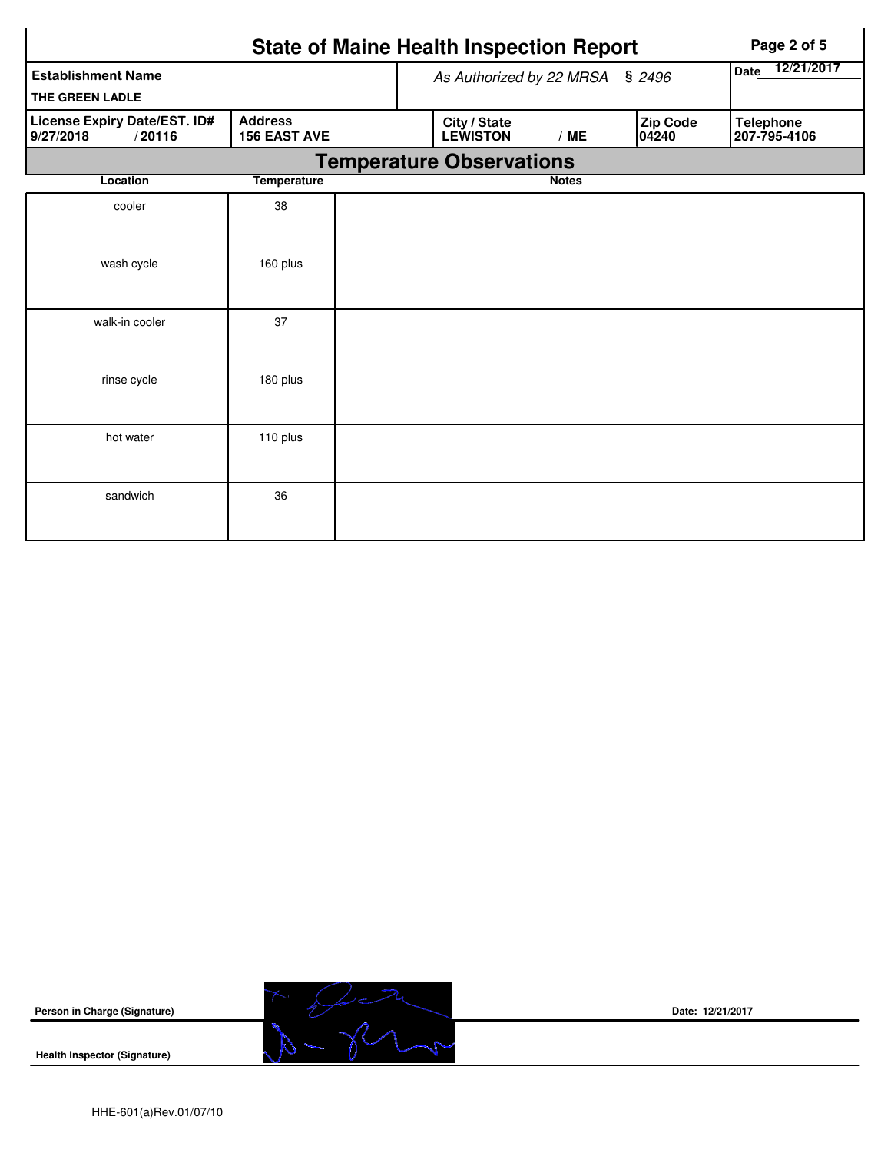|                                                                                              | Page 2 of 5        |  |                                 |                    |                   |                                  |
|----------------------------------------------------------------------------------------------|--------------------|--|---------------------------------|--------------------|-------------------|----------------------------------|
| <b>Establishment Name</b>                                                                    |                    |  | As Authorized by 22 MRSA § 2496 | 12/21/2017<br>Date |                   |                                  |
| THE GREEN LADLE                                                                              |                    |  |                                 |                    |                   |                                  |
| License Expiry Date/EST. ID#<br><b>Address</b><br><b>156 EAST AVE</b><br>9/27/2018<br>/20116 |                    |  | City / State<br><b>LEWISTON</b> | /ME                | Zip Code<br>04240 | <b>Telephone</b><br>207-795-4106 |
|                                                                                              |                    |  | <b>Temperature Observations</b> |                    |                   |                                  |
| Location                                                                                     | <b>Temperature</b> |  |                                 | <b>Notes</b>       |                   |                                  |
| cooler                                                                                       | 38                 |  |                                 |                    |                   |                                  |
| wash cycle                                                                                   | 160 plus           |  |                                 |                    |                   |                                  |
| walk-in cooler                                                                               | 37                 |  |                                 |                    |                   |                                  |
| rinse cycle                                                                                  | 180 plus           |  |                                 |                    |                   |                                  |
| hot water                                                                                    | 110 plus           |  |                                 |                    |                   |                                  |
| sandwich                                                                                     | 36                 |  |                                 |                    |                   |                                  |

 $\overline{\phantom{a}}$ 



**Date: 12/21/2017**

**Health Inspector (Signature)**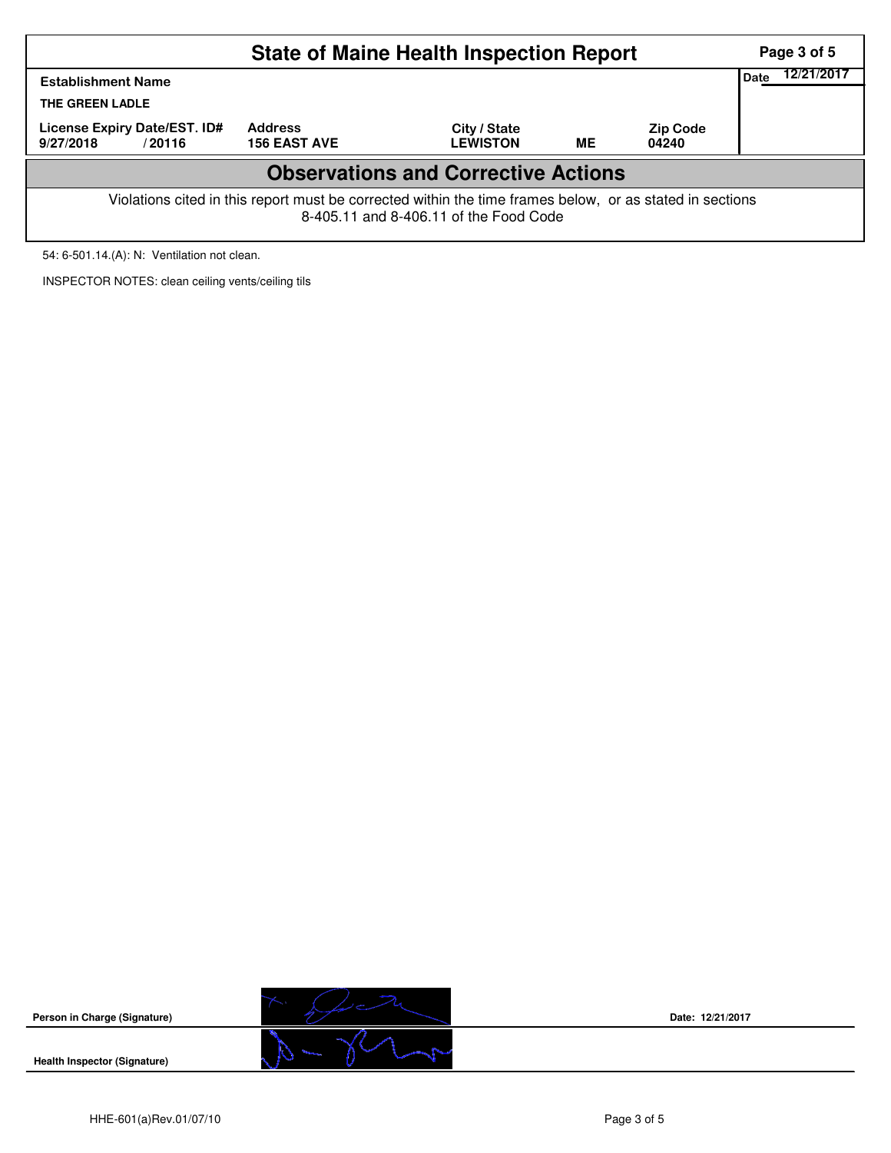| <b>State of Maine Health Inspection Report</b>                                                                                                     |  |  |  |  |  |  |  |  |  |  |
|----------------------------------------------------------------------------------------------------------------------------------------------------|--|--|--|--|--|--|--|--|--|--|
| <b>Establishment Name</b><br>THE GREEN LADLE                                                                                                       |  |  |  |  |  |  |  |  |  |  |
| License Expiry Date/EST. ID#<br>9/27/2018<br>/20116                                                                                                |  |  |  |  |  |  |  |  |  |  |
| <b>Observations and Corrective Actions</b>                                                                                                         |  |  |  |  |  |  |  |  |  |  |
| Violations cited in this report must be corrected within the time frames below, or as stated in sections<br>8-405.11 and 8-406.11 of the Food Code |  |  |  |  |  |  |  |  |  |  |

54: 6-501.14.(A): N: Ventilation not clean.

INSPECTOR NOTES: clean ceiling vents/ceiling tils



**Date: 12/21/2017**

**Health Inspector (Signature)** 

**Person in Charge (Signature)**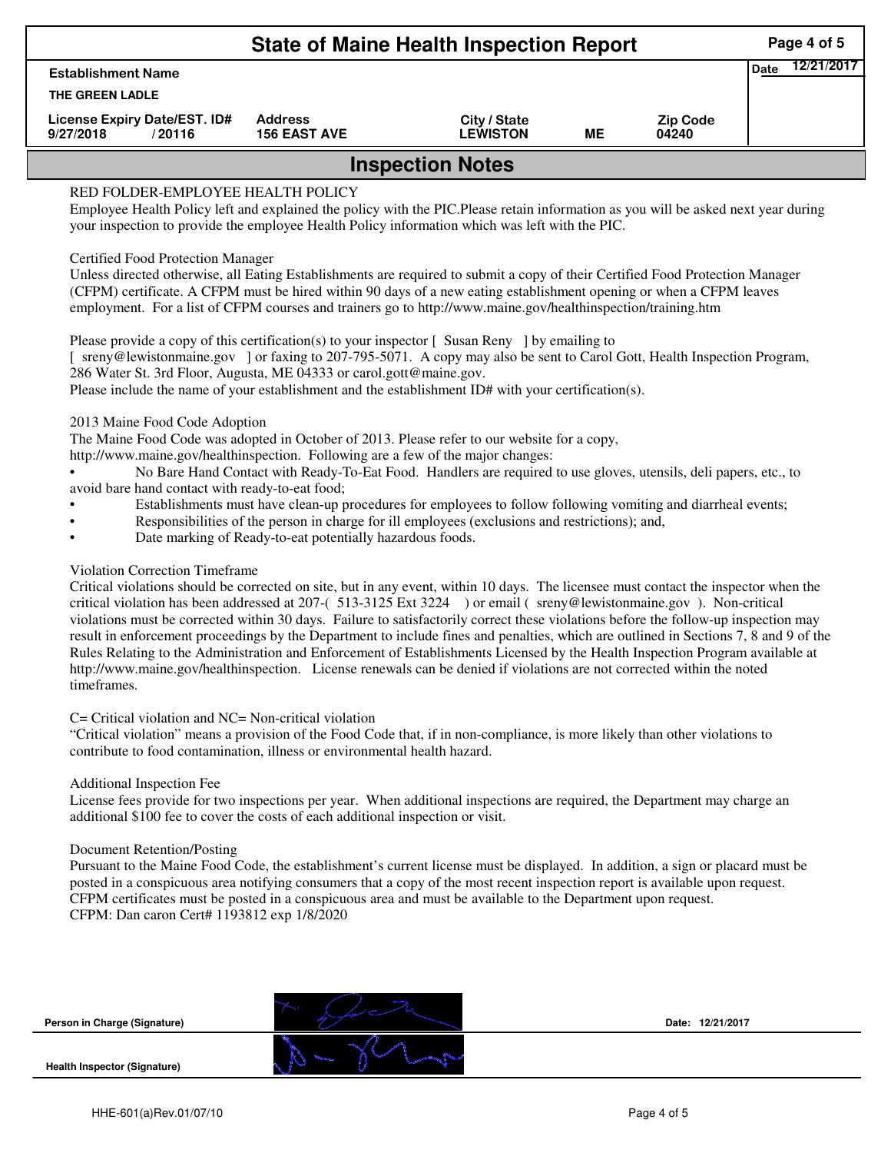|                                                     |                                       | Page 4 of 5                     |    |                          |  |  |  |  |  |  |
|-----------------------------------------------------|---------------------------------------|---------------------------------|----|--------------------------|--|--|--|--|--|--|
| <b>Establishment Name</b>                           | Date                                  | 12/21/2017                      |    |                          |  |  |  |  |  |  |
| THE GREEN LADLE                                     |                                       |                                 |    |                          |  |  |  |  |  |  |
| License Expiry Date/EST. ID#<br>9/27/2018<br>/20116 | <b>Address</b><br><b>156 EAST AVE</b> | City / State<br><b>LEWISTON</b> | MЕ | <b>Zip Code</b><br>04240 |  |  |  |  |  |  |
| <b>Inspection Notes</b>                             |                                       |                                 |    |                          |  |  |  |  |  |  |
| RED FOLDER-EMPLOYEE HEALTH POLICY                   |                                       |                                 |    |                          |  |  |  |  |  |  |

# RED FOLDER-EMPLOYEE HEALTH POLICY

Employee Health Policy left and explained the policy with the PIC.Please retain information as you will be asked next year during your inspection to provide the employee Health Policy information which was left with the PIC.

### Certified Food Protection Manager

Unless directed otherwise, all Eating Establishments are required to submit a copy of their Certified Food Protection Manager (CFPM) certificate. A CFPM must be hired within 90 days of a new eating establishment opening or when a CFPM leaves employment. For a list of CFPM courses and trainers go to http://www.maine.gov/healthinspection/training.htm

Please provide a copy of this certification(s) to your inspector [Susan Reny ] by emailing to [ sreny@lewistonmaine.gov ] or faxing to 207-795-5071. A copy may also be sent to Carol Gott, Health Inspection Program, 286 Water St. 3rd Floor, Augusta, ME 04333 or carol.gott@maine.gov.

Please include the name of your establishment and the establishment ID# with your certification(s).

2013 Maine Food Code Adoption

The Maine Food Code was adopted in October of 2013. Please refer to our website for a copy,

http://www.maine.gov/healthinspection. Following are a few of the major changes:

• No Bare Hand Contact with Ready-To-Eat Food. Handlers are required to use gloves, utensils, deli papers, etc., to avoid bare hand contact with ready-to-eat food;

- Establishments must have clean-up procedures for employees to follow following vomiting and diarrheal events;
- Responsibilities of the person in charge for ill employees (exclusions and restrictions); and,
- Date marking of Ready-to-eat potentially hazardous foods.

## Violation Correction Timeframe

Critical violations should be corrected on site, but in any event, within 10 days. The licensee must contact the inspector when the critical violation has been addressed at 207-( 513-3125 Ext 3224 ) or email ( sreny@lewistonmaine.gov ). Non-critical violations must be corrected within 30 days. Failure to satisfactorily correct these violations before the follow-up inspection may result in enforcement proceedings by the Department to include fines and penalties, which are outlined in Sections 7, 8 and 9 of the Rules Relating to the Administration and Enforcement of Establishments Licensed by the Health Inspection Program available at http://www.maine.gov/healthinspection. License renewals can be denied if violations are not corrected within the noted timeframes.

### C= Critical violation and NC= Non-critical violation

"Critical violation" means a provision of the Food Code that, if in non-compliance, is more likely than other violations to contribute to food contamination, illness or environmental health hazard.

### Additional Inspection Fee

License fees provide for two inspections per year. When additional inspections are required, the Department may charge an additional \$100 fee to cover the costs of each additional inspection or visit.

### Document Retention/Posting

Pursuant to the Maine Food Code, the establishment's current license must be displayed. In addition, a sign or placard must be posted in a conspicuous area notifying consumers that a copy of the most recent inspection report is available upon request. CFPM certificates must be posted in a conspicuous area and must be available to the Department upon request. CFPM: Dan caron Cert# 1193812 exp 1/8/2020